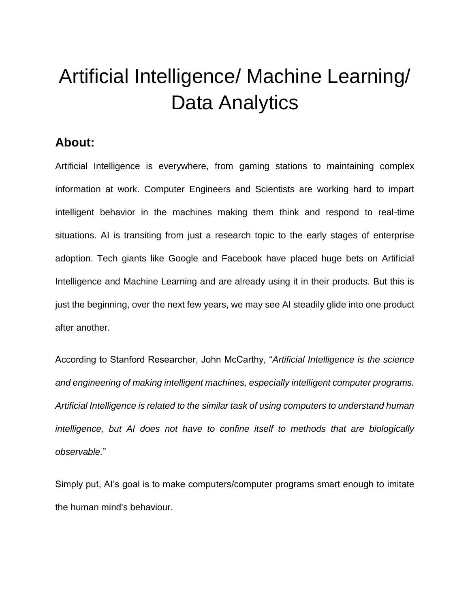# Artificial Intelligence/ Machine Learning/ Data Analytics

#### **About:**

Artificial Intelligence is everywhere, from gaming stations to maintaining complex information at work. Computer Engineers and Scientists are working hard to impart intelligent behavior in the machines making them think and respond to real-time situations. AI is transiting from just a research topic to the early stages of enterprise adoption. Tech giants like Google and Facebook have placed huge bets on Artificial Intelligence and Machine Learning and are already using it in their products. But this is just the beginning, over the next few years, we may see AI steadily glide into one product after another.

According to Stanford Researcher, John McCarthy, "*Artificial Intelligence is the science and engineering of making intelligent machines, especially intelligent computer programs. Artificial Intelligence is related to the similar task of using computers to understand human intelligence, but AI does not have to confine itself to methods that are biologically observable.*"

Simply put, AI's goal is to make computers/computer programs smart enough to imitate the human mind's behaviour.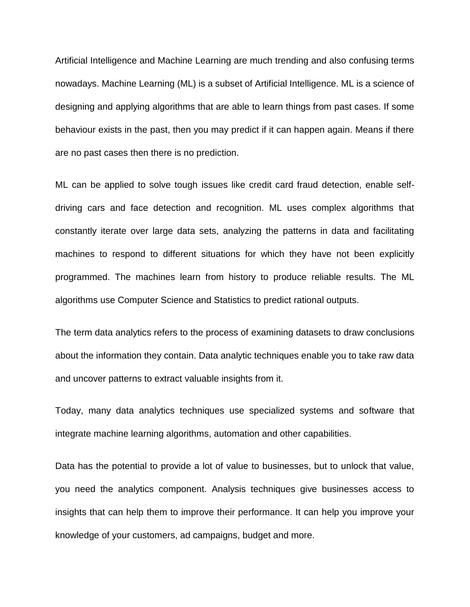Artificial Intelligence and Machine Learning are much trending and also confusing terms nowadays. Machine Learning (ML) is a subset of Artificial Intelligence. ML is a science of designing and applying algorithms that are able to learn things from past cases. If some behaviour exists in the past, then you may predict if it can happen again. Means if there are no past cases then there is no prediction.

ML can be applied to solve tough issues like credit card fraud detection, enable selfdriving cars and face detection and recognition. ML uses complex algorithms that constantly iterate over large data sets, analyzing the patterns in data and facilitating machines to respond to different situations for which they have not been explicitly programmed. The machines learn from history to produce reliable results. The ML algorithms use Computer Science and Statistics to predict rational outputs.

The term data analytics refers to the process of examining datasets to draw conclusions about the information they contain. Data analytic techniques enable you to take raw data and uncover patterns to extract valuable insights from it.

Today, many data analytics techniques use specialized systems and software that integrate machine learning algorithms, automation and other capabilities.

Data has the potential to provide a lot of value to businesses, but to unlock that value, you need the analytics component. Analysis techniques give businesses access to insights that can help them to improve their performance. It can help you improve your knowledge of your customers, ad campaigns, budget and more.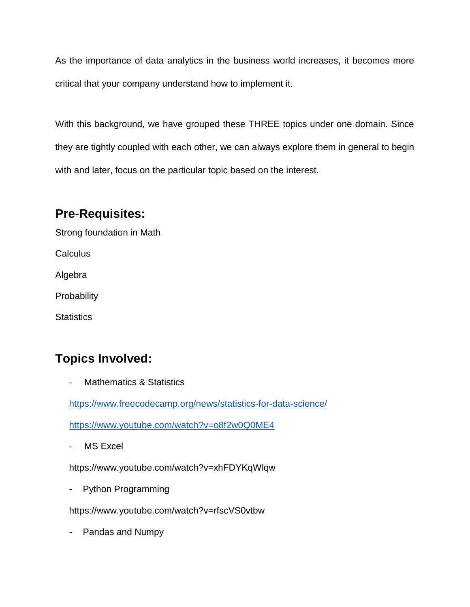As the importance of data analytics in the business world increases, it becomes more critical that your company understand how to implement it.

With this background, we have grouped these THREE topics under one domain. Since they are tightly coupled with each other, we can always explore them in general to begin with and later, focus on the particular topic based on the interest.

## **Pre-Requisites:**

Strong foundation in Math

**Calculus** 

Algebra

**Probability** 

**Statistics** 

# **Topics Involved:**

Mathematics & Statistics

<https://www.freecodecamp.org/news/statistics-for-data-science/>

<https://www.youtube.com/watch?v=o8f2w0Q0ME4>

MS Excel

https://www.youtube.com/watch?v=xhFDYKqWlqw

- Python Programming

https://www.youtube.com/watch?v=rfscVS0vtbw

- Pandas and Numpy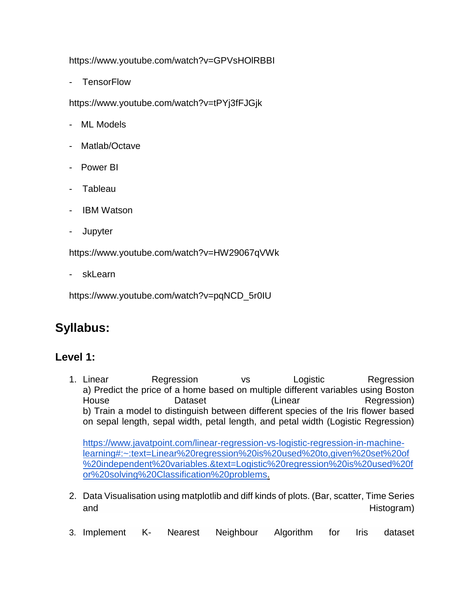https://www.youtube.com/watch?v=GPVsHOlRBBI

**TensorFlow** 

https://www.youtube.com/watch?v=tPYj3fFJGjk

- ML Models
- Matlab/Octave
- Power BI
- Tableau
- **IBM Watson**
- **Jupyter**

https://www.youtube.com/watch?v=HW29067qVWk

skLearn

https://www.youtube.com/watch?v=pqNCD\_5r0IU

## **Syllabus:**

#### **Level 1:**

1. Linear Regression vs Logistic Regression a) Predict the price of a home based on multiple different variables using Boston House **Dataset Container (Linear Regression**) b) Train a model to distinguish between different species of the Iris flower based on sepal length, sepal width, petal length, and petal width (Logistic Regression)

[https://www.javatpoint.com/linear-regression-vs-logistic-regression-in-machine](https://www.javatpoint.com/linear-regression-vs-logistic-regression-in-machine-learning#:~:text=Linear%20regression%20is%20used%20to,given%20set%20of%20independent%20variables.&text=Logistic%20regression%20is%20used%20for%20solving%20Classification%20problems)[learning#:~:text=Linear%20regression%20is%20used%20to,given%20set%20of](https://www.javatpoint.com/linear-regression-vs-logistic-regression-in-machine-learning#:~:text=Linear%20regression%20is%20used%20to,given%20set%20of%20independent%20variables.&text=Logistic%20regression%20is%20used%20for%20solving%20Classification%20problems) [%20independent%20variables.&text=Logistic%20regression%20is%20used%20f](https://www.javatpoint.com/linear-regression-vs-logistic-regression-in-machine-learning#:~:text=Linear%20regression%20is%20used%20to,given%20set%20of%20independent%20variables.&text=Logistic%20regression%20is%20used%20for%20solving%20Classification%20problems) [or%20solving%20Classification%20problems.](https://www.javatpoint.com/linear-regression-vs-logistic-regression-in-machine-learning#:~:text=Linear%20regression%20is%20used%20to,given%20set%20of%20independent%20variables.&text=Logistic%20regression%20is%20used%20for%20solving%20Classification%20problems)

- 2. Data Visualisation using matplotlib and diff kinds of plots. (Bar, scatter, Time Series and **Histogram**) and the extent of the extent of the extent of the extent of the extent of the extent of the extent of the extent of the extent of the extent of the extent of the extent of the extent of the extent of the e
- 3. Implement K- Nearest Neighbour Algorithm for Iris dataset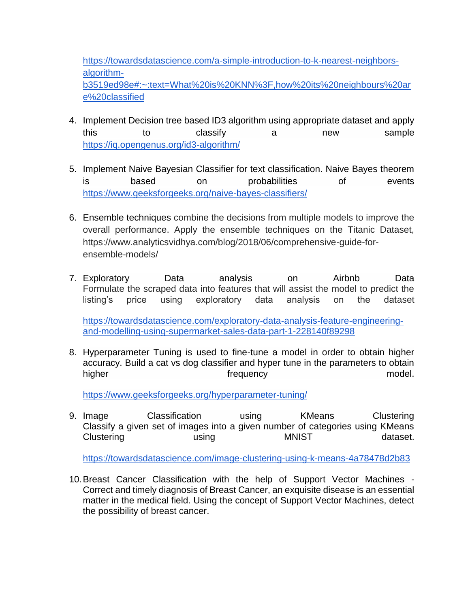[https://towardsdatascience.com/a-simple-introduction-to-k-nearest-neighbors](https://towardsdatascience.com/a-simple-introduction-to-k-nearest-neighbors-algorithm-b3519ed98e#:~:text=What%20is%20KNN%3F,how%20its%20neighbours%20are%20classified)[algorithm](https://towardsdatascience.com/a-simple-introduction-to-k-nearest-neighbors-algorithm-b3519ed98e#:~:text=What%20is%20KNN%3F,how%20its%20neighbours%20are%20classified)[b3519ed98e#:~:text=What%20is%20KNN%3F,how%20its%20neighbours%20ar](https://towardsdatascience.com/a-simple-introduction-to-k-nearest-neighbors-algorithm-b3519ed98e#:~:text=What%20is%20KNN%3F,how%20its%20neighbours%20are%20classified) [e%20classified](https://towardsdatascience.com/a-simple-introduction-to-k-nearest-neighbors-algorithm-b3519ed98e#:~:text=What%20is%20KNN%3F,how%20its%20neighbours%20are%20classified)

- 4. Implement Decision tree based ID3 algorithm using appropriate dataset and apply this to classify a new sample <https://iq.opengenus.org/id3-algorithm/>
- 5. Implement Naive Bayesian Classifier for text classification. Naive Bayes theorem is based on probabilities of events <https://www.geeksforgeeks.org/naive-bayes-classifiers/>
- 6. Ensemble techniques combine the decisions from multiple models to improve the overall performance. Apply the ensemble techniques on the Titanic Dataset, https://www.analyticsvidhya.com/blog/2018/06/comprehensive-guide-forensemble-models/
- 7. Exploratory Data analysis on Airbnb Data Formulate the scraped data into features that will assist the model to predict the listing's price using exploratory data analysis on the dataset

[https://towardsdatascience.com/exploratory-data-analysis-feature-engineering](https://towardsdatascience.com/exploratory-data-analysis-feature-engineering-and-modelling-using-supermarket-sales-data-part-1-228140f89298)[and-modelling-using-supermarket-sales-data-part-1-228140f89298](https://towardsdatascience.com/exploratory-data-analysis-feature-engineering-and-modelling-using-supermarket-sales-data-part-1-228140f89298)

8. Hyperparameter Tuning is used to fine-tune a model in order to obtain higher accuracy. Build a cat vs dog classifier and hyper tune in the parameters to obtain higher model. The frequency contract of the model.

<https://www.geeksforgeeks.org/hyperparameter-tuning/>

9. Image Classification using KMeans Clustering Classify a given set of images into a given number of categories using KMeans Clustering by using the MNIST dataset.

<https://towardsdatascience.com/image-clustering-using-k-means-4a78478d2b83>

10.Breast Cancer Classification with the help of Support Vector Machines - Correct and timely diagnosis of Breast Cancer, an exquisite disease is an essential matter in the medical field. Using the concept of Support Vector Machines, detect the possibility of breast cancer.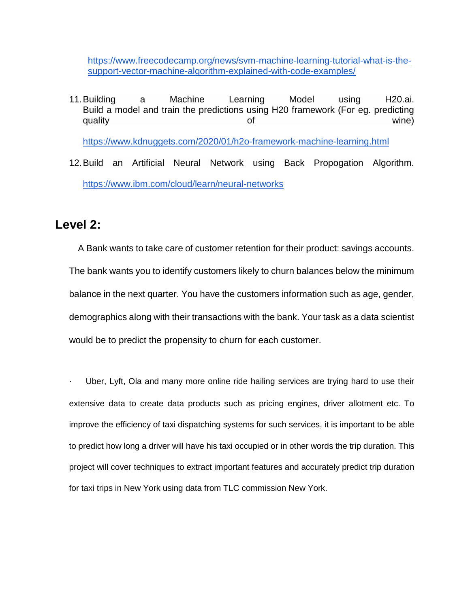[https://www.freecodecamp.org/news/svm-machine-learning-tutorial-what-is-the](https://www.freecodecamp.org/news/svm-machine-learning-tutorial-what-is-the-support-vector-machine-algorithm-explained-with-code-examples/)[support-vector-machine-algorithm-explained-with-code-examples/](https://www.freecodecamp.org/news/svm-machine-learning-tutorial-what-is-the-support-vector-machine-algorithm-explained-with-code-examples/)

- 11.Building a Machine Learning Model using H20.ai. Build a model and train the predictions using H20 framework (For eg. predicting quality wine) and of the contract of the contract of the contract of the contract of the contract of the contract of <https://www.kdnuggets.com/2020/01/h2o-framework-machine-learning.html>
- 12.Build an Artificial Neural Network using Back Propogation Algorithm. <https://www.ibm.com/cloud/learn/neural-networks>

### **Level 2:**

 A Bank wants to take care of customer retention for their product: savings accounts. The bank wants you to identify customers likely to churn balances below the minimum balance in the next quarter. You have the customers information such as age, gender, demographics along with their transactions with the bank. Your task as a data scientist would be to predict the propensity to churn for each customer.

Uber, Lyft, Ola and many more online ride hailing services are trying hard to use their extensive data to create data products such as pricing engines, driver allotment etc. To improve the efficiency of taxi dispatching systems for such services, it is important to be able to predict how long a driver will have his taxi occupied or in other words the trip duration. This project will cover techniques to extract important features and accurately predict trip duration for taxi trips in New York using data from TLC commission New York.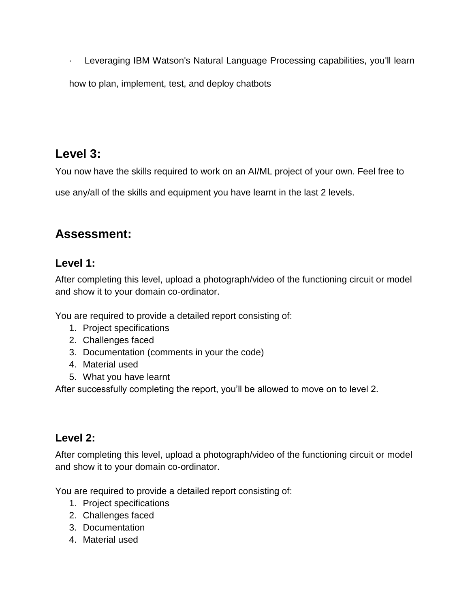· Leveraging IBM Watson's Natural Language Processing capabilities, you'll learn

how to plan, implement, test, and deploy chatbots

## **Level 3:**

You now have the skills required to work on an AI/ML project of your own. Feel free to

use any/all of the skills and equipment you have learnt in the last 2 levels.

## **Assessment:**

#### **Level 1:**

After completing this level, upload a photograph/video of the functioning circuit or model and show it to your domain co-ordinator.

You are required to provide a detailed report consisting of:

- 1. Project specifications
- 2. Challenges faced
- 3. Documentation (comments in your the code)
- 4. Material used
- 5. What you have learnt

After successfully completing the report, you'll be allowed to move on to level 2.

#### **Level 2:**

After completing this level, upload a photograph/video of the functioning circuit or model and show it to your domain co-ordinator.

You are required to provide a detailed report consisting of:

- 1. Project specifications
- 2. Challenges faced
- 3. Documentation
- 4. Material used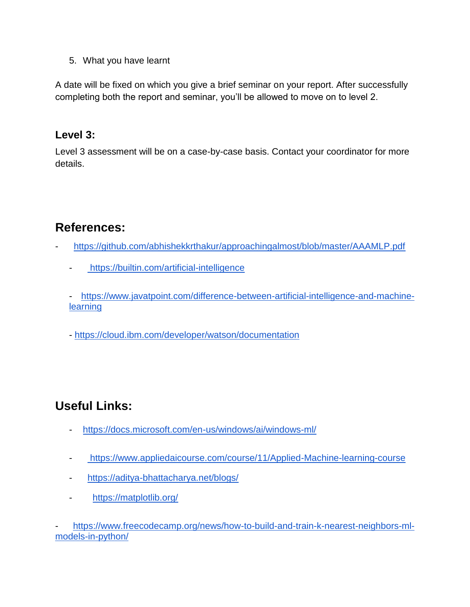5. What you have learnt

A date will be fixed on which you give a brief seminar on your report. After successfully completing both the report and seminar, you'll be allowed to move on to level 2.

#### **Level 3:**

Level 3 assessment will be on a case-by-case basis. Contact your coordinator for more details.

# **References:**

- <https://github.com/abhishekkrthakur/approachingalmost/blob/master/AAAMLP.pdf>
	- <https://builtin.com/artificial-intelligence>

- [https://www.javatpoint.com/difference-between-artificial-intelligence-and-machine](https://www.javatpoint.com/difference-between-artificial-intelligence-and-machine-learning)**[learning](https://www.javatpoint.com/difference-between-artificial-intelligence-and-machine-learning)** 

- <https://cloud.ibm.com/developer/watson/documentation>

## **Useful Links:**

- <https://docs.microsoft.com/en-us/windows/ai/windows-ml/>
- <https://www.appliedaicourse.com/course/11/Applied-Machine-learning-course>
- <https://aditya-bhattacharya.net/blogs/>
- <https://matplotlib.org/>

[https://www.freecodecamp.org/news/how-to-build-and-train-k-nearest-neighbors-ml](https://www.freecodecamp.org/news/how-to-build-and-train-k-nearest-neighbors-ml-models-in-python/)[models-in-python/](https://www.freecodecamp.org/news/how-to-build-and-train-k-nearest-neighbors-ml-models-in-python/)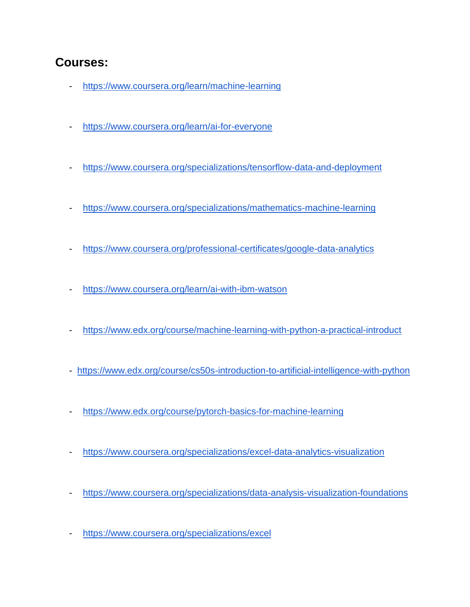## **Courses:**

- <https://www.coursera.org/learn/machine-learning>
- <https://www.coursera.org/learn/ai-for-everyone>
- <https://www.coursera.org/specializations/tensorflow-data-and-deployment>
- <https://www.coursera.org/specializations/mathematics-machine-learning>
- <https://www.coursera.org/professional-certificates/google-data-analytics>
- <https://www.coursera.org/learn/ai-with-ibm-watson>
- <https://www.edx.org/course/machine-learning-with-python-a-practical-introduct>
- <https://www.edx.org/course/cs50s-introduction-to-artificial-intelligence-with-python>
- <https://www.edx.org/course/pytorch-basics-for-machine-learning>
- <https://www.coursera.org/specializations/excel-data-analytics-visualization>
- <https://www.coursera.org/specializations/data-analysis-visualization-foundations>
- <https://www.coursera.org/specializations/excel>